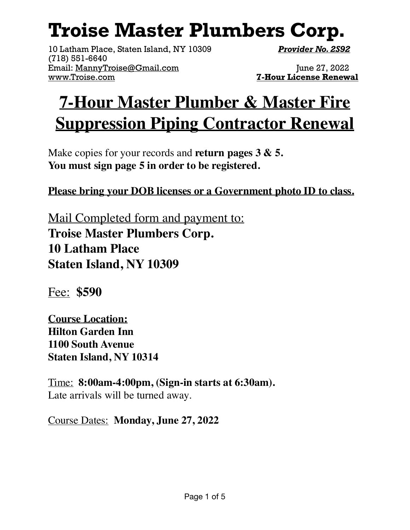10 Latham Place, Staten Island, NY 10309 *Provider No. 2S92* (718) 551-6640 Email: [MannyTroise@Gmail.com](mailto:MannyTroise@Gmail.com) June 27, 2022

**7-Hour License Renewal** 

#### **7-Hour Master Plumber & Master Fire Suppression Piping Contractor Renewal**

Make copies for your records and **return pages 3 & 5. You must sign page 5 in order to be registered.**

**Please bring your DOB licenses or a Government photo ID to class.**

Mail Completed form and payment to: **Troise Master Plumbers Corp. 10 Latham Place Staten Island, NY 10309**

Fee: **\$590**

**Course Location: Hilton Garden Inn 1100 South Avenue Staten Island, NY 10314**

Time: **8:00am-4:00pm, (Sign-in starts at 6:30am).** Late arrivals will be turned away.

Course Dates: **Monday, June 27, 2022**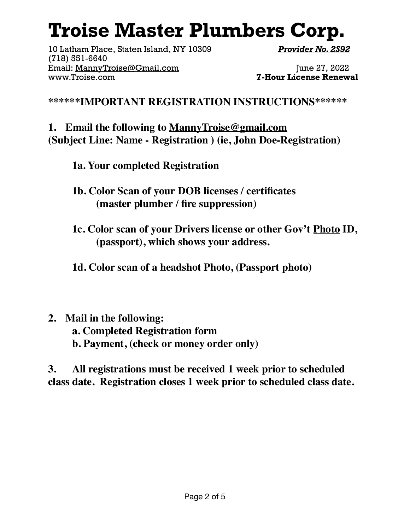10 Latham Place, Staten Island, NY 10309 *Provider No. 2S92* (718) 551-6640 Email: [MannyTroise@Gmail.com](mailto:MannyTroise@Gmail.com) June 27, 2022

**7-Hour License Renewal** 

**\*\*\*\*\*\*IMPORTANT REGISTRATION INSTRUCTIONS\*\*\*\*\*\***

**1. Email the following to [MannyTroise@gmail.com](mailto:MannyTroise@gmail.com) (Subject Line: Name - Registration ) (ie, John Doe-Registration)**

- **1a. Your completed Registration**
- **1b. Color Scan of your DOB licenses / certificates (master plumber / fire suppression)**
- **1c. Color scan of your Drivers license or other Gov't Photo ID, (passport), which shows your address.**

**1d. Color scan of a headshot Photo, (Passport photo)**

**2. Mail in the following: a. Completed Registration form b. Payment, (check or money order only)**

**3. All registrations must be received 1 week prior to scheduled class date. Registration closes 1 week prior to scheduled class date.**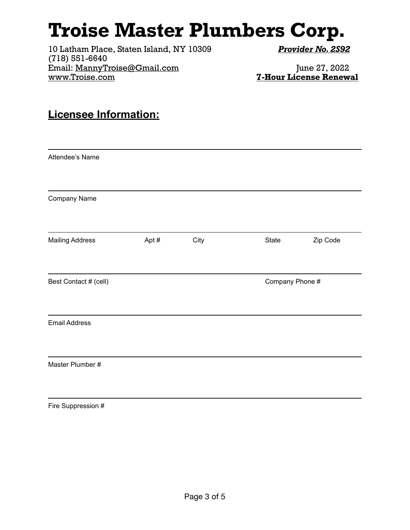10 Latham Place, Staten Island, NY 10309 *Provider No. 2S92* (718) 551-6640 Email: [MannyTroise@Gmail.com](mailto:MannyTroise@Gmail.com) June 27, 2022

**7-Hour License Renewal** 

#### **Licensee Information:**

| Attendee's Name        |      |      |       |                 |  |
|------------------------|------|------|-------|-----------------|--|
|                        |      |      |       |                 |  |
| Company Name           |      |      |       |                 |  |
|                        |      |      |       |                 |  |
| <b>Mailing Address</b> | Apt# | City | State | Zip Code        |  |
|                        |      |      |       |                 |  |
| Best Contact # (cell)  |      |      |       | Company Phone # |  |
|                        |      |      |       |                 |  |
| <b>Email Address</b>   |      |      |       |                 |  |
|                        |      |      |       |                 |  |
| Master Plumber #       |      |      |       |                 |  |
|                        |      |      |       |                 |  |

Fire Suppression #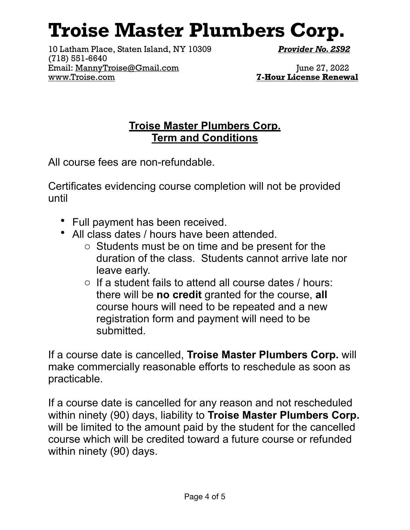10 Latham Place, Staten Island, NY 10309 *Provider No. 2S92* (718) 551-6640 Email: [MannyTroise@Gmail.com](mailto:MannyTroise@Gmail.com) June 27, 2022

**7-Hour License Renewal** 

#### **Troise Master Plumbers Corp. Term and Conditions**

All course fees are non-refundable.

Certificates evidencing course completion will not be provided until

- Full payment has been received.
- All class dates / hours have been attended.
	- o Students must be on time and be present for the duration of the class. Students cannot arrive late nor leave early.
	- o If a student fails to attend all course dates / hours: there will be **no credit** granted for the course, **all** course hours will need to be repeated and a new registration form and payment will need to be submitted.

If a course date is cancelled, **Troise Master Plumbers Corp.** will make commercially reasonable efforts to reschedule as soon as practicable.

If a course date is cancelled for any reason and not rescheduled within ninety (90) days, liability to **Troise Master Plumbers Corp.**  will be limited to the amount paid by the student for the cancelled course which will be credited toward a future course or refunded within ninety (90) days.